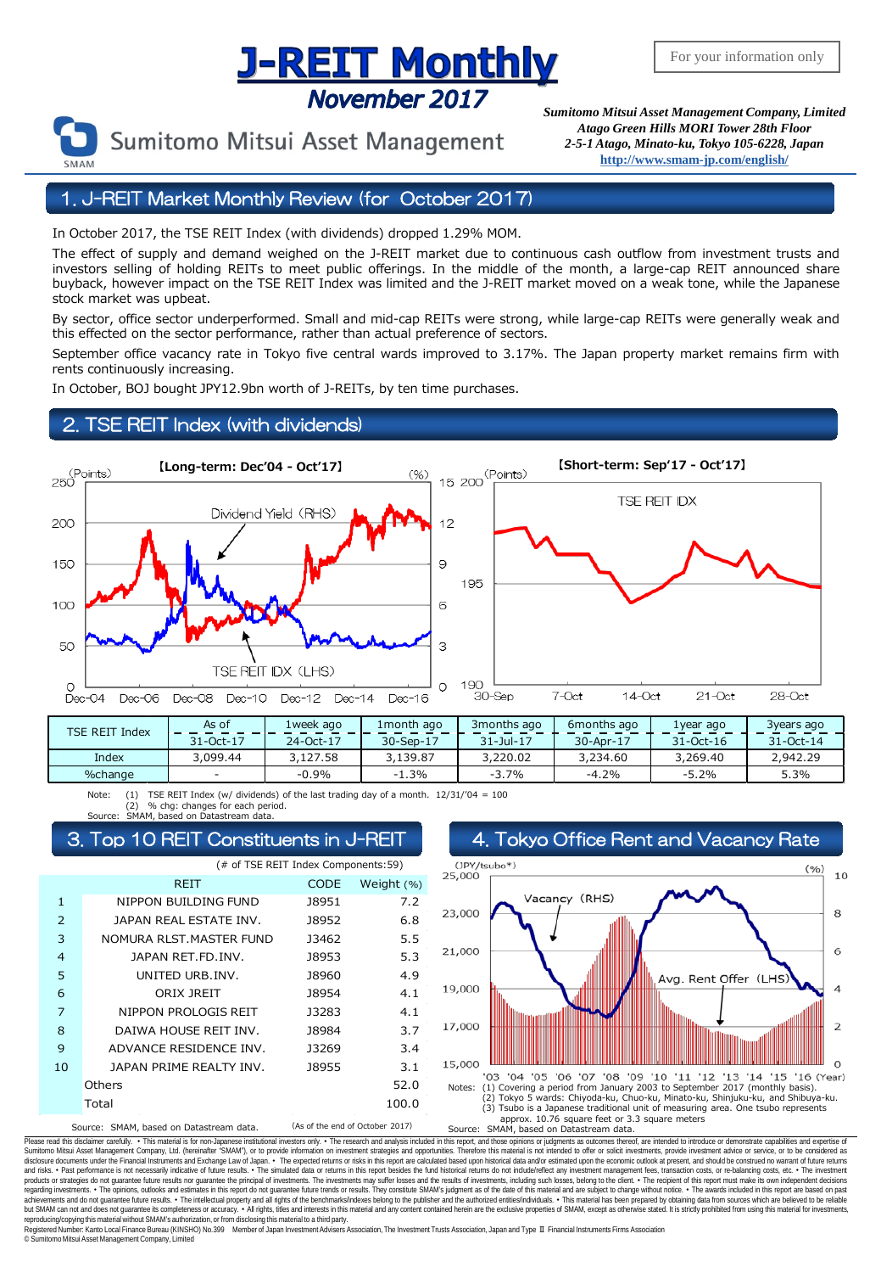## <u>J-REIT Monthly</u> November 2017



Sumitomo Mitsui Asset Management

*Sumitomo Mitsui Asset Management Company, Limited Atago Green Hills MORI Tower 28th Floor 2-5-1 Atago, Minato-ku, Tokyo 105-6228, Japan* **<http://www.smam-jp.com/english/>**

1. J-REIT Market Monthly Review (for October 2017)

In October 2017, the TSE REIT Index (with dividends) dropped 1.29% MOM.

The effect of supply and demand weighed on the J-REIT market due to continuous cash outflow from investment trusts and investors selling of holding REITs to meet public offerings. In the middle of the month, a large-cap REIT announced share buyback, however impact on the TSE REIT Index was limited and the J-REIT market moved on a weak tone, while the Japanese stock market was upbeat.

By sector, office sector underperformed. Small and mid-cap REITs were strong, while large-cap REITs were generally weak and this effected on the sector performance, rather than actual preference of sectors.

September office vacancy rate in Tokyo five central wards improved to 3.17%. The Japan property market remains firm with rents continuously increasing.

In October, BOJ bought JPY12.9bn worth of J-REITs, by ten time purchases.

### 2. TSE REIT Index (with dividends)



| <b>TSE REIT Index</b> | As of     | 1week ago | 1 month ago | 3 months ago  | 6 months ago | 1vear ago     | 3years ago    |
|-----------------------|-----------|-----------|-------------|---------------|--------------|---------------|---------------|
|                       | 31-Oct-17 | 24-Oct-17 | 30-Sep-17   | $31 -$ Jul-17 | 30-Apr-17    | $31 - Oct-16$ | $31 - Oct-14$ |
| Index                 | 3,099.44  | 3,127.58  | 3,139.87    | 3,220.02      | 3,234.60     | 3,269.40      | 2,942.29      |
| %change               |           | $-0.9%$   | $-1.3%$     | $-3.7%$       | $-4.2%$      | $-5.2%$       | 5.3%          |

Note: (1) TSE REIT Index (w/ dividends) of the last trading day of a month.  $12/31/04 = 100$ <br>Source: SMAM based on Datastream data (2) % chg: changes for each period. Source: SMAM, based on Datastream data.

| (# of TSE REIT Index Components:59) |                                         |             |                                 |  |  |  |  |
|-------------------------------------|-----------------------------------------|-------------|---------------------------------|--|--|--|--|
|                                     | <b>REIT</b>                             | <b>CODE</b> | Weight (%)                      |  |  |  |  |
| 1                                   | NIPPON BUILDING FUND                    | J8951       | 7.2                             |  |  |  |  |
| $\overline{2}$                      | JAPAN REAL ESTATE INV.                  | 18952       | 6.8                             |  |  |  |  |
| 3                                   | NOMURA RLST. MASTER FUND                | 13462       | 5.5                             |  |  |  |  |
| $\overline{4}$                      | JAPAN RET.FD.INV.                       | 18953       | 5.3                             |  |  |  |  |
| 5                                   | UNITED URB.INV.                         | J8960       | 4.9                             |  |  |  |  |
| 6                                   | ORIX JREIT                              | J8954       | 4.1                             |  |  |  |  |
| 7                                   | NIPPON PROLOGIS REIT                    | 13283       | 4.1                             |  |  |  |  |
| 8                                   | DAIWA HOUSE REIT INV.                   | 18984       | 3.7                             |  |  |  |  |
| 9                                   | ADVANCE RESIDENCE INV.                  | 13269       | 3.4                             |  |  |  |  |
| 10                                  | JAPAN PRIME REALTY INV.                 | 18955       | 3.1                             |  |  |  |  |
| Others                              |                                         |             | 52.0                            |  |  |  |  |
| Total<br>100.0                      |                                         |             |                                 |  |  |  |  |
|                                     | Source: SMAM, based on Datastream data. |             | (As of the end of October 2017) |  |  |  |  |



Please read this disclaimer carefuly. • This material is for non-Japanese institutional investors only. • The research and analysis included in this report, and those opinions or judgments as outcomes thereof, are intended disclosure documents under the Financial Instruments and Exchange Law of Japan. • The expected relums or risks in this report are calculated based upon historial data and/or estimated upon the economic outlook at present, products or strategies do not guarantee future results nor guarantee the principal of investments. The investments may suffer losses and the results of investments, including such losses, belong to the client. . The recipi regarding investments. • The opinions, outlooks and estimates in this report do not guarantee future trends or results. They constitute SMAM's judgment as of the date of this material and are subject to change without noti reproducing/copying this material without SMAM's authorization, or from disclosing thismaterial to a third party.

egistered Number: Kanto Local Finance Bureau (KINSHO) No.399 Member of Japan Investment Advisers Association, The Investment Trusts Association, Japan and Type Ⅱ Financial Instruments Firms Association © SumitomoMitsui Asset Management Company, Limited